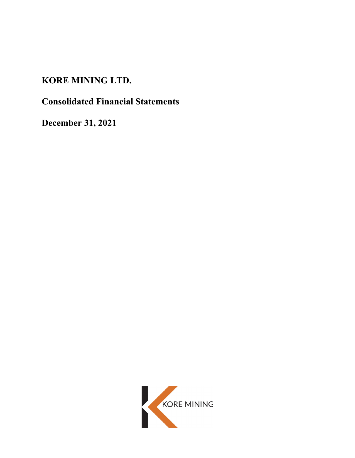# **KORE MINING LTD.**

# **Consolidated Financial Statements**

**December 31, 2021**

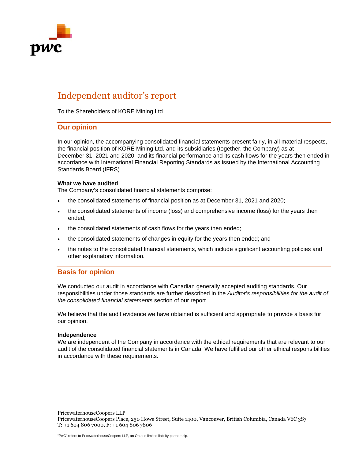

# Independent auditor's report

To the Shareholders of KORE Mining Ltd.

# **Our opinion**

In our opinion, the accompanying consolidated financial statements present fairly, in all material respects, the financial position of KORE Mining Ltd. and its subsidiaries (together, the Company) as at December 31, 2021 and 2020, and its financial performance and its cash flows for the years then ended in accordance with International Financial Reporting Standards as issued by the International Accounting Standards Board (IFRS).

#### **What we have audited**

The Company's consolidated financial statements comprise:

- the consolidated statements of financial position as at December 31, 2021 and 2020;
- the consolidated statements of income (loss) and comprehensive income (loss) for the years then ended;
- the consolidated statements of cash flows for the years then ended;
- the consolidated statements of changes in equity for the years then ended; and
- the notes to the consolidated financial statements, which include significant accounting policies and other explanatory information.

# **Basis for opinion**

We conducted our audit in accordance with Canadian generally accepted auditing standards. Our responsibilities under those standards are further described in the *Auditor's responsibilities for the audit of the consolidated financial statements* section of our report.

We believe that the audit evidence we have obtained is sufficient and appropriate to provide a basis for our opinion.

#### **Independence**

We are independent of the Company in accordance with the ethical requirements that are relevant to our audit of the consolidated financial statements in Canada. We have fulfilled our other ethical responsibilities in accordance with these requirements.

PricewaterhouseCoopers LLP PricewaterhouseCoopers Place, 250 Howe Street, Suite 1400, Vancouver, British Columbia, Canada V6C 3S7 T: +1 604 806 7000, F: +1 604 806 7806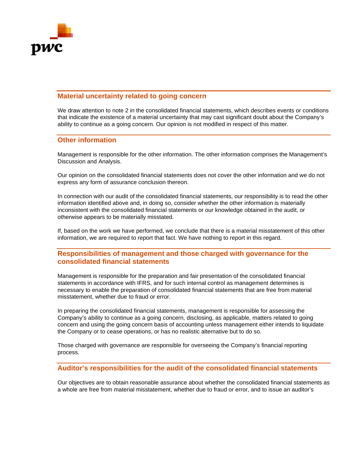

# **Material uncertainty related to going concern**

We draw attention to note 2 in the consolidated financial statements, which describes events or conditions that indicate the existence of a material uncertainty that may cast significant doubt about the Company's ability to continue as a going concern. Our opinion is not modified in respect of this matter.

# **Other information**

Management is responsible for the other information. The other information comprises the Management's Discussion and Analysis.

Our opinion on the consolidated financial statements does not cover the other information and we do not express any form of assurance conclusion thereon.

In connection with our audit of the consolidated financial statements, our responsibility is to read the other information identified above and, in doing so, consider whether the other information is materially inconsistent with the consolidated financial statements or our knowledge obtained in the audit, or otherwise appears to be materially misstated.

If, based on the work we have performed, we conclude that there is a material misstatement of this other information, we are required to report that fact. We have nothing to report in this regard.

# **Responsibilities of management and those charged with governance for the consolidated financial statements**

Management is responsible for the preparation and fair presentation of the consolidated financial statements in accordance with IFRS, and for such internal control as management determines is necessary to enable the preparation of consolidated financial statements that are free from material misstatement, whether due to fraud or error.

In preparing the consolidated financial statements, management is responsible for assessing the Company's ability to continue as a going concern, disclosing, as applicable, matters related to going concern and using the going concern basis of accounting unless management either intends to liquidate the Company or to cease operations, or has no realistic alternative but to do so.

Those charged with governance are responsible for overseeing the Company's financial reporting process.

# **Auditor's responsibilities for the audit of the consolidated financial statements**

Our objectives are to obtain reasonable assurance about whether the consolidated financial statements as a whole are free from material misstatement, whether due to fraud or error, and to issue an auditor's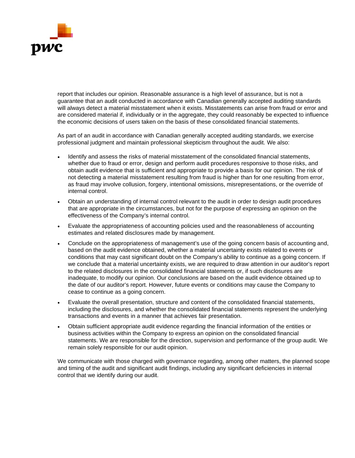

report that includes our opinion. Reasonable assurance is a high level of assurance, but is not a guarantee that an audit conducted in accordance with Canadian generally accepted auditing standards will always detect a material misstatement when it exists. Misstatements can arise from fraud or error and are considered material if, individually or in the aggregate, they could reasonably be expected to influence the economic decisions of users taken on the basis of these consolidated financial statements.

As part of an audit in accordance with Canadian generally accepted auditing standards, we exercise professional judgment and maintain professional skepticism throughout the audit. We also:

- Identify and assess the risks of material misstatement of the consolidated financial statements, whether due to fraud or error, design and perform audit procedures responsive to those risks, and obtain audit evidence that is sufficient and appropriate to provide a basis for our opinion. The risk of not detecting a material misstatement resulting from fraud is higher than for one resulting from error, as fraud may involve collusion, forgery, intentional omissions, misrepresentations, or the override of internal control.
- Obtain an understanding of internal control relevant to the audit in order to design audit procedures that are appropriate in the circumstances, but not for the purpose of expressing an opinion on the effectiveness of the Company's internal control.
- Evaluate the appropriateness of accounting policies used and the reasonableness of accounting estimates and related disclosures made by management.
- Conclude on the appropriateness of management's use of the going concern basis of accounting and, based on the audit evidence obtained, whether a material uncertainty exists related to events or conditions that may cast significant doubt on the Company's ability to continue as a going concern. If we conclude that a material uncertainty exists, we are required to draw attention in our auditor's report to the related disclosures in the consolidated financial statements or, if such disclosures are inadequate, to modify our opinion. Our conclusions are based on the audit evidence obtained up to the date of our auditor's report. However, future events or conditions may cause the Company to cease to continue as a going concern.
- Evaluate the overall presentation, structure and content of the consolidated financial statements, including the disclosures, and whether the consolidated financial statements represent the underlying transactions and events in a manner that achieves fair presentation.
- Obtain sufficient appropriate audit evidence regarding the financial information of the entities or business activities within the Company to express an opinion on the consolidated financial statements. We are responsible for the direction, supervision and performance of the group audit. We remain solely responsible for our audit opinion.

We communicate with those charged with governance regarding, among other matters, the planned scope and timing of the audit and significant audit findings, including any significant deficiencies in internal control that we identify during our audit.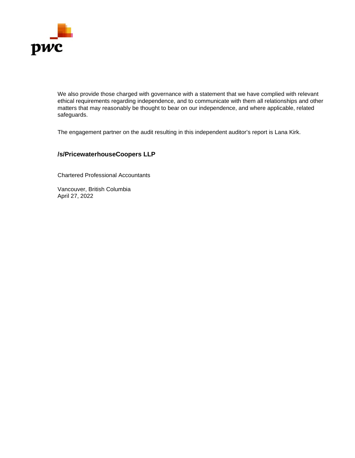

We also provide those charged with governance with a statement that we have complied with relevant ethical requirements regarding independence, and to communicate with them all relationships and other matters that may reasonably be thought to bear on our independence, and where applicable, related safeguards.

The engagement partner on the audit resulting in this independent auditor's report is Lana Kirk.

# **/s/PricewaterhouseCoopers LLP**

Chartered Professional Accountants

Vancouver, British Columbia April 27, 2022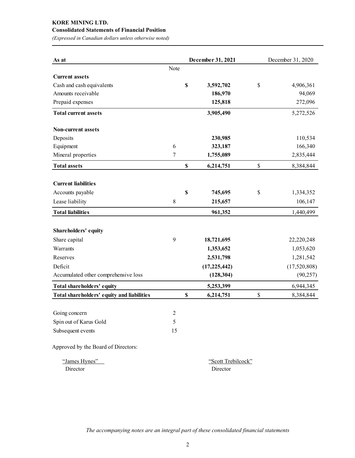# **KORE MINING LTD.**

# **Consolidated Statements of Financial Position**

*(Expressed in Canadian dollars unless otherwise noted)* 

| As at                                      |                |                           | December 31, 2021 | December 31, 2020 |              |  |  |
|--------------------------------------------|----------------|---------------------------|-------------------|-------------------|--------------|--|--|
|                                            | Note           |                           |                   |                   |              |  |  |
| <b>Current assets</b>                      |                |                           |                   |                   |              |  |  |
| Cash and cash equivalents                  |                | $\boldsymbol{\mathsf{S}}$ | 3,592,702         | \$                | 4,906,361    |  |  |
| Amounts receivable                         |                |                           | 186,970           |                   | 94,069       |  |  |
| Prepaid expenses                           |                |                           | 125,818           |                   | 272,096      |  |  |
| <b>Total current assets</b>                |                |                           | 3,905,490         |                   | 5,272,526    |  |  |
| <b>Non-current assets</b>                  |                |                           |                   |                   |              |  |  |
| Deposits                                   |                |                           | 230,985           |                   | 110,534      |  |  |
| Equipment                                  | 6              |                           | 323,187           |                   | 166,340      |  |  |
| Mineral properties                         | 7              |                           | 1,755,089         |                   | 2,835,444    |  |  |
| <b>Total assets</b>                        |                | $\mathbb S$               | 6,214,751         | \$                | 8,384,844    |  |  |
|                                            |                |                           |                   |                   |              |  |  |
| <b>Current liabilities</b>                 |                |                           |                   |                   |              |  |  |
| Accounts payable                           |                | $\mathbf S$               | 745,695           | \$                | 1,334,352    |  |  |
| Lease liability                            | 8              |                           | 215,657           |                   | 106,147      |  |  |
| <b>Total liabilities</b>                   |                |                           | 961,352           |                   | 1,440,499    |  |  |
| Shareholders' equity                       |                |                           |                   |                   |              |  |  |
| Share capital                              | 9              |                           | 18,721,695        |                   | 22,220,248   |  |  |
| Warrants                                   |                |                           | 1,353,652         |                   | 1,053,620    |  |  |
| Reserves                                   |                |                           | 2,531,798         |                   | 1,281,542    |  |  |
| Deficit                                    |                |                           | (17, 225, 442)    |                   | (17,520,808) |  |  |
| Accumulated other comprehensive loss       |                |                           | (128, 304)        |                   | (90, 257)    |  |  |
| Total shareholders' equity                 |                |                           | 5,253,399         |                   | 6,944,345    |  |  |
| Total shareholders' equity and liabilities |                | $\mathbf S$               | 6,214,751         | \$                | 8,384,844    |  |  |
| Going concern                              | $\overline{c}$ |                           |                   |                   |              |  |  |
|                                            | 5              |                           |                   |                   |              |  |  |
| Spin out of Karus Gold                     |                |                           |                   |                   |              |  |  |
| Subsequent events                          | 15             |                           |                   |                   |              |  |  |
| Approved by the Board of Directors:        |                |                           |                   |                   |              |  |  |

| "James Hynes" | "Scott Trebilcock" |
|---------------|--------------------|
| Director      | Director           |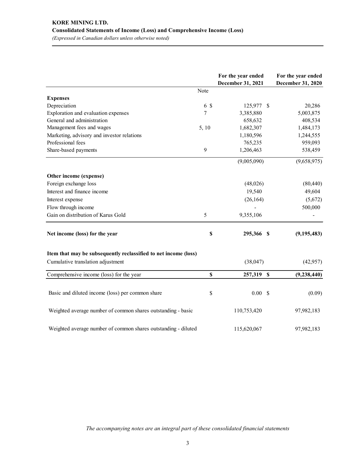|                                                                 |       | For the year ended<br>December 31, 2021 | For the year ended<br>December 31, 2020 |
|-----------------------------------------------------------------|-------|-----------------------------------------|-----------------------------------------|
|                                                                 | Note  |                                         |                                         |
| <b>Expenses</b>                                                 |       |                                         |                                         |
| Depreciation                                                    | 6 \$  | 125,977 \$                              | 20,286                                  |
| Exploration and evaluation expenses                             | 7     | 3,385,880                               | 5,003,875                               |
| General and administration                                      |       | 658,632                                 | 408,534                                 |
| Management fees and wages                                       | 5, 10 | 1,682,307                               | 1,484,173                               |
| Marketing, advisory and investor relations                      |       | 1,180,596                               | 1,244,555                               |
| Professional fees                                               |       | 765,235                                 | 959,093                                 |
| Share-based payments                                            | 9     | 1,206,463                               | 538,459                                 |
|                                                                 |       | (9,005,090)                             | (9,658,975)                             |
| Other income (expense)                                          |       |                                         |                                         |
| Foreign exchange loss                                           |       | (48,026)                                | (80, 440)                               |
| Interest and finance income                                     |       | 19,540                                  | 49,604                                  |
| Interest expense                                                |       | (26, 164)                               | (5,672)                                 |
| Flow through income                                             |       |                                         | 500,000                                 |
| Gain on distribution of Karus Gold                              | 5     | 9,355,106                               |                                         |
| Net income (loss) for the year                                  | \$    | 295,366 \$                              | (9, 195, 483)                           |
| Item that may be subsequently reclassified to net income (loss) |       |                                         |                                         |
| Cumulative translation adjustment                               |       | (38,047)                                | (42,957)                                |
| Comprehensive income (loss) for the year                        | \$    | 257,319 \$                              | (9, 238, 440)                           |
|                                                                 |       |                                         |                                         |
| Basic and diluted income (loss) per common share                | \$    | 0.00 S                                  | (0.09)                                  |
| Weighted average number of common shares outstanding - basic    |       | 110,753,420                             | 97,982,183                              |
| Weighted average number of common shares outstanding - diluted  |       | 115,620,067                             | 97,982,183                              |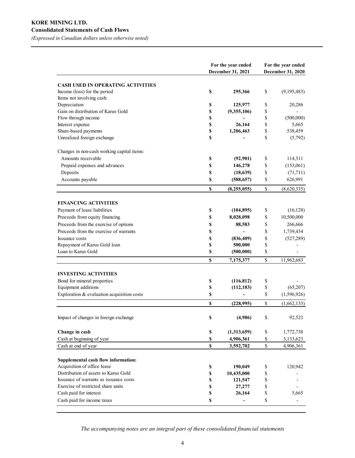## **KORE MINING LTD. Consolidated Statements of Cash Flows**

*(Expressed in Canadian dollars unless otherwise noted)* 

|                                                                          | For the year ended<br>December 31, 2021 | For the year ended<br>December 31, 2020                               |             |  |
|--------------------------------------------------------------------------|-----------------------------------------|-----------------------------------------------------------------------|-------------|--|
|                                                                          |                                         |                                                                       |             |  |
| <b>CASH USED IN OPERATING ACTIVITIES</b><br>Income (loss) for the period | \$<br>295,366                           | \$                                                                    | (9,195,483) |  |
| Items not involving cash:                                                |                                         |                                                                       |             |  |
| Depreciation                                                             | \$<br>125,977                           | \$                                                                    | 20,286      |  |
| Gain on distribution of Karus Gold                                       | \$<br>(9,355,106)                       | \$                                                                    |             |  |
| Flow through income                                                      | \$                                      | \$                                                                    | (500,000)   |  |
| Interest expense                                                         | \$<br>26,164                            | \$                                                                    | 5,665       |  |
| Share-based payments                                                     | \$<br>1,206,463                         | \$                                                                    | 538,459     |  |
| Unrealized foreign exchange                                              | \$                                      | \$                                                                    | (5,792)     |  |
| Changes in non-cash working capital items:                               |                                         |                                                                       |             |  |
| Amounts receivable                                                       | \$<br>(92, 901)                         | \$                                                                    | 114,311     |  |
| Prepaid expenses and advances                                            | \$<br>146,278                           | \$                                                                    | (153,061)   |  |
| Deposits                                                                 | \$<br>(18, 639)                         | \$                                                                    | (71, 711)   |  |
| Accounts payable                                                         | \$<br>(588, 657)                        | \$                                                                    | 626,991     |  |
|                                                                          | \$<br>(8,255,055)                       | $\mathbb{S}% _{t}\left( t\right) \equiv\mathbb{S}_{t}\left( t\right)$ | (8,620,335) |  |
|                                                                          |                                         |                                                                       |             |  |
| <b>FINANCING ACTIVITIES</b>                                              |                                         |                                                                       |             |  |
| Payment of lease liabilities                                             | \$<br>(104, 895)                        | \$                                                                    | (16, 128)   |  |
| Proceeds from equity financing                                           | \$<br>8,028,098                         | \$                                                                    | 10,500,000  |  |
| Proceeds from the exercise of options                                    | \$<br>88,583                            | \$                                                                    | 266,666     |  |
| Proceeds from the exercise of warrants                                   | \$                                      | \$                                                                    | 1,739,434   |  |
| Issuance costs                                                           | \$<br>(836, 409)                        | \$                                                                    | (527, 289)  |  |
| Repayment of Karus Gold loan                                             | \$<br>500,000                           | \$                                                                    |             |  |
| Loan to Karus Gold                                                       | \$<br>(500,000)                         | \$                                                                    |             |  |
|                                                                          | \$<br>7,175,377                         | \$                                                                    | 11,962,683  |  |
| <b>INVESTING ACTIVITIES</b>                                              |                                         |                                                                       |             |  |
| Bond for mineral properties                                              | \$<br>(116, 812)                        | \$                                                                    |             |  |
| Equipment additions                                                      | \$<br>(112, 183)                        | \$                                                                    | (65,207)    |  |
| Exploration & evaluation acquisition costs                               | \$                                      | \$                                                                    | (1,596,926) |  |
|                                                                          | \$<br>(228, 995)                        | \$                                                                    | (1,662,133) |  |
| Impact of changes in foreign exchange                                    | \$<br>(4,986)                           | \$                                                                    | 92,523      |  |
| Change in cash                                                           | \$<br>(1,313,659)                       | \$                                                                    | 1,772,738   |  |
| Cash at beginning of year                                                | \$<br>4,906,361                         | \$                                                                    | 3,133,623   |  |
| Cash at end of year                                                      | \$<br>3,592,702                         | $\mathbb S$                                                           | 4,906,361   |  |
| Supplemental cash flow information:                                      |                                         |                                                                       |             |  |
| Acquisition of office lease                                              | \$<br>190,049                           | \$                                                                    | 120,942     |  |
| Distribution of assets to Karus Gold                                     | \$<br>10,435,000                        | \$                                                                    |             |  |
| Issuance of warrants as issuance costs                                   | \$<br>121,547                           | \$                                                                    |             |  |
| Exercise of restricted share units                                       | \$<br>27,277                            | \$                                                                    |             |  |
| Cash paid for interest                                                   | \$<br>26,164                            | \$                                                                    | 5,665       |  |
| Cash paid for income taxes                                               | \$                                      | \$                                                                    |             |  |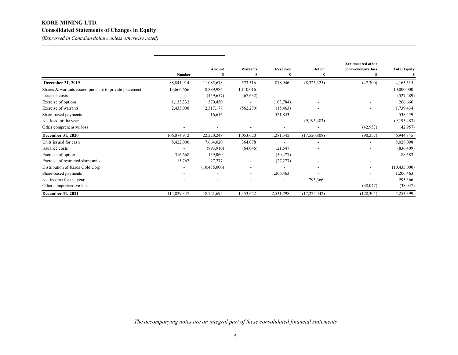# **KORE MINING LTD. Consolidated Statements of Changes in Equity**

*(Expressed in Canadian dollars unless otherwise noted)* 

|                                                        |                          |                |                          |                          |                          | <b>Accumulated other</b> |                     |
|--------------------------------------------------------|--------------------------|----------------|--------------------------|--------------------------|--------------------------|--------------------------|---------------------|
|                                                        | <b>Number</b>            | Amount<br>N,   | <b>Warrants</b>          | <b>Reserves</b><br>S     | Deficit<br>S             | comprehensive loss       | <b>Total Equity</b> |
| December 31, 2019                                      | 88, 841, 914             | 11,085,678     | 573,516                  | 878,946                  | (8,325,325)              | (47,300)                 | 4,165,515           |
| Shares & warrants issued pursuant to private placement | 13,666,666               | 8,889,984      | 1,110,016                |                          |                          |                          | 10,000,000          |
| Issuance costs                                         | $\overline{\phantom{0}}$ | (459,657)      | (67, 632)                |                          | $\blacksquare$           |                          | (527, 289)          |
| Exercise of options                                    | 1,133,332                | 370,450        |                          | (103, 784)               |                          |                          | 266,666             |
| Exercise of warrants                                   | 2,433,000                | 2,317,177      | (562, 280)               | (15, 463)                |                          |                          | 1,739,434           |
| Share-based payments                                   | $\overline{\phantom{0}}$ | 16,616         |                          | 521,843                  |                          |                          | 538,459             |
| Net loss for the year                                  |                          |                |                          | $\overline{\phantom{a}}$ | (9,195,483)              |                          | (9,195,483)         |
| Other comprehensive loss                               | ٠                        |                |                          | $\overline{\phantom{a}}$ |                          | (42, 957)                | (42, 957)           |
| December 31, 2020                                      | 106,074,912              | 22,220,248     | 1,053,620                | 1,281,542                | (17,520,808)             | (90, 257)                | 6,944,345           |
| Units issued for cash                                  | 8,422,000                | 7,664,020      | 364,078                  |                          | $\overline{\phantom{a}}$ |                          | 8,028,098           |
| Issuance costs                                         |                          | (893,910)      | (64,046)                 | 121,547                  |                          |                          | (836, 409)          |
| Exercise of options                                    | 316,668                  | 139,060        |                          | (50, 477)                |                          |                          | 88,583              |
| Exercise of restricted share units                     | 15,767                   | 27,277         |                          | (27, 277)                |                          |                          |                     |
| Distribution of Karus Gold Corp.                       | $\overline{\phantom{a}}$ | (10, 435, 000) |                          |                          |                          |                          | (10, 435, 000)      |
| Share-based payments                                   |                          |                | $\overline{\phantom{a}}$ | 1,206,463                |                          |                          | 1,206,463           |
| Net income for the year                                |                          |                |                          | $\overline{a}$           | 295,366                  |                          | 295,366             |
| Other comprehensive loss                               |                          |                |                          |                          |                          | (38,047)                 | (38,047)            |
| December 31, 2021                                      | 114,829,347              | 18,721,695     | 1,353,652                | 2,531,798                | (17, 225, 442)           | (128, 304)               | 5,253,399           |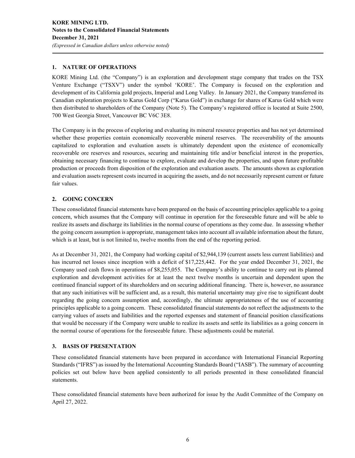### **1. NATURE OF OPERATIONS**

KORE Mining Ltd. (the "Company") is an exploration and development stage company that trades on the TSX Venture Exchange ("TSXV") under the symbol 'KORE'. The Company is focused on the exploration and development of its California gold projects, Imperial and Long Valley. In January 2021, the Company transferred its Canadian exploration projects to Karus Gold Corp ("Karus Gold") in exchange for shares of Karus Gold which were then distributed to shareholders of the Company (Note 5). The Company's registered office is located at Suite 2500, 700 West Georgia Street, Vancouver BC V6C 3E8.

The Company is in the process of exploring and evaluating its mineral resource properties and has not yet determined whether these properties contain economically recoverable mineral reserves. The recoverability of the amounts capitalized to exploration and evaluation assets is ultimately dependent upon the existence of economically recoverable ore reserves and resources, securing and maintaining title and/or beneficial interest in the properties, obtaining necessary financing to continue to explore, evaluate and develop the properties, and upon future profitable production or proceeds from disposition of the exploration and evaluation assets. The amounts shown as exploration and evaluation assets represent costs incurred in acquiring the assets, and do not necessarily represent current or future fair values.

#### **2. GOING CONCERN**

These consolidated financial statements have been prepared on the basis of accounting principles applicable to a going concern, which assumes that the Company will continue in operation for the foreseeable future and will be able to realize its assets and discharge its liabilities in the normal course of operations as they come due. In assessing whether the going concern assumption is appropriate, management takes into account all available information about the future, which is at least, but is not limited to, twelve months from the end of the reporting period.

As at December 31, 2021, the Company had working capital of \$2,944,139 (current assets less current liabilities) and has incurred net losses since inception with a deficit of \$17,225,442. For the year ended December 31, 2021, the Company used cash flows in operations of \$8,255,055. The Company's ability to continue to carry out its planned exploration and development activities for at least the next twelve months is uncertain and dependent upon the continued financial support of its shareholders and on securing additional financing. There is, however, no assurance that any such initiatives will be sufficient and, as a result, this material uncertainty may give rise to significant doubt regarding the going concern assumption and, accordingly, the ultimate appropriateness of the use of accounting principles applicable to a going concern. These consolidated financial statements do not reflect the adjustments to the carrying values of assets and liabilities and the reported expenses and statement of financial position classifications that would be necessary if the Company were unable to realize its assets and settle its liabilities as a going concern in the normal course of operations for the foreseeable future. These adjustments could be material.

#### **3. BASIS OF PRESENTATION**

These consolidated financial statements have been prepared in accordance with International Financial Reporting Standards ("IFRS") as issued by the International Accounting Standards Board ("IASB"). The summary of accounting policies set out below have been applied consistently to all periods presented in these consolidated financial statements.

These consolidated financial statements have been authorized for issue by the Audit Committee of the Company on April 27, 2022.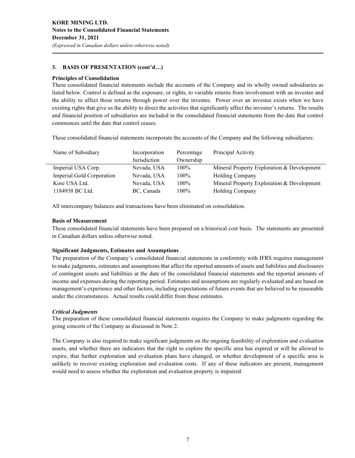# **3. BASIS OF PRESENTATION (cont'd…)**

#### **Principles of Consolidation**

These consolidated financial statements include the accounts of the Company and its wholly owned subsidiaries as listed below. Control is defined as the exposure, or rights, to variable returns from involvement with an investee and the ability to affect those returns through power over the investee. Power over an investee exists when we have existing rights that give us the ability to direct the activities that significantly affect the investee's returns. The results and financial position of subsidiaries are included in the consolidated financial statements from the date that control commences until the date that control ceases.

These consolidated financial statements incorporate the accounts of the Company and the following subsidiaries:

| Name of Subsidiary        | Incorporation | Percentage | Principal Activity                         |
|---------------------------|---------------|------------|--------------------------------------------|
|                           | Jurisdiction  | Ownership  |                                            |
| Imperial USA Corp.        | Nevada, USA   | $100\%$    | Mineral Property Exploration & Development |
| Imperial Gold Corporation | Nevada, USA   | $100\%$    | <b>Holding Company</b>                     |
| Kore USA Ltd.             | Nevada, USA   | 100%       | Mineral Property Exploration & Development |
| 1184938 BC Ltd.           | BC, Canada    | 100%       | Holding Company                            |

All intercompany balances and transactions have been eliminated on consolidation.

#### **Basis of Measurement**

These consolidated financial statements have been prepared on a historical cost basis. The statements are presented in Canadian dollars unless otherwise noted.

#### **Significant Judgments, Estimates and Assumptions**

The preparation of the Company's consolidated financial statements in conformity with IFRS requires management to make judgments, estimates and assumptions that affect the reported amounts of assets and liabilities and disclosures of contingent assets and liabilities at the date of the consolidated financial statements and the reported amounts of income and expenses during the reporting period. Estimates and assumptions are regularly evaluated and are based on management's experience and other factors, including expectations of future events that are believed to be reasonable under the circumstances. Actual results could differ from these estimates.

## *Critical Judgments*

The preparation of these consolidated financial statements requires the Company to make judgments regarding the going concern of the Company as discussed in Note 2.

The Company is also required to make significant judgments on the ongoing feasibility of exploration and evaluation assets, and whether there are indicators that the right to explore the specific area has expired or will be allowed to expire, that further exploration and evaluation plans have changed, or whether development of a specific area is unlikely to recover existing exploration and evaluation costs. If any of these indicators are present, management would need to assess whether the exploration and evaluation property is impaired.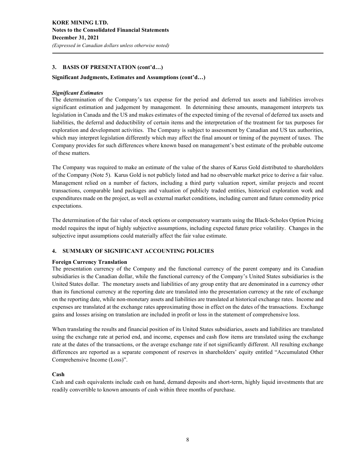#### **3. BASIS OF PRESENTATION (cont'd…)**

#### **Significant Judgments, Estimates and Assumptions (cont'd…)**

#### *Significant Estimates*

The determination of the Company's tax expense for the period and deferred tax assets and liabilities involves significant estimation and judgement by management. In determining these amounts, management interprets tax legislation in Canada and the US and makes estimates of the expected timing of the reversal of deferred tax assets and liabilities, the deferral and deductibility of certain items and the interpretation of the treatment for tax purposes for exploration and development activities. The Company is subject to assessment by Canadian and US tax authorities, which may interpret legislation differently which may affect the final amount or timing of the payment of taxes. The Company provides for such differences where known based on management's best estimate of the probable outcome of these matters.

The Company was required to make an estimate of the value of the shares of Karus Gold distributed to shareholders of the Company (Note 5). Karus Gold is not publicly listed and had no observable market price to derive a fair value. Management relied on a number of factors, including a third party valuation report, similar projects and recent transactions, comparable land packages and valuation of publicly traded entities, historical exploration work and expenditures made on the project, as well as external market conditions, including current and future commodity price expectations.

The determination of the fair value of stock options or compensatory warrants using the Black-Scholes Option Pricing model requires the input of highly subjective assumptions, including expected future price volatility. Changes in the subjective input assumptions could materially affect the fair value estimate.

#### **4. SUMMARY OF SIGNIFICANT ACCOUNTING POLICIES**

#### **Foreign Currency Translation**

The presentation currency of the Company and the functional currency of the parent company and its Canadian subsidiaries is the Canadian dollar, while the functional currency of the Company's United States subsidiaries is the United States dollar. The monetary assets and liabilities of any group entity that are denominated in a currency other than its functional currency at the reporting date are translated into the presentation currency at the rate of exchange on the reporting date, while non-monetary assets and liabilities are translated at historical exchange rates. Income and expenses are translated at the exchange rates approximating those in effect on the dates of the transactions. Exchange gains and losses arising on translation are included in profit or loss in the statement of comprehensive loss.

When translating the results and financial position of its United States subsidiaries, assets and liabilities are translated using the exchange rate at period end, and income, expenses and cash flow items are translated using the exchange rate at the dates of the transactions, or the average exchange rate if not significantly different. All resulting exchange differences are reported as a separate component of reserves in shareholders' equity entitled "Accumulated Other Comprehensive Income (Loss)".

#### **Cash**

Cash and cash equivalents include cash on hand, demand deposits and short-term, highly liquid investments that are readily convertible to known amounts of cash within three months of purchase.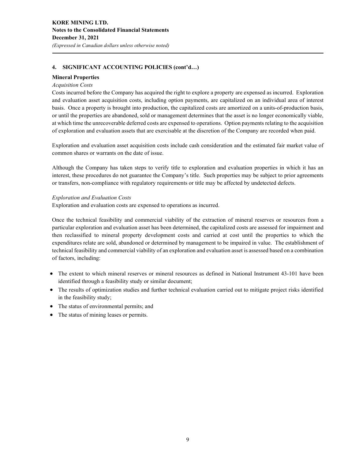#### **Mineral Properties**

#### *Acquisition Costs*

Costs incurred before the Company has acquired the right to explore a property are expensed as incurred. Exploration and evaluation asset acquisition costs, including option payments, are capitalized on an individual area of interest basis. Once a property is brought into production, the capitalized costs are amortized on a units-of-production basis, or until the properties are abandoned, sold or management determines that the asset is no longer economically viable, at which time the unrecoverable deferred costs are expensed to operations. Option payments relating to the acquisition of exploration and evaluation assets that are exercisable at the discretion of the Company are recorded when paid.

Exploration and evaluation asset acquisition costs include cash consideration and the estimated fair market value of common shares or warrants on the date of issue.

Although the Company has taken steps to verify title to exploration and evaluation properties in which it has an interest, these procedures do not guarantee the Company's title. Such properties may be subject to prior agreements or transfers, non-compliance with regulatory requirements or title may be affected by undetected defects.

#### *Exploration and Evaluation Costs*

Exploration and evaluation costs are expensed to operations as incurred.

Once the technical feasibility and commercial viability of the extraction of mineral reserves or resources from a particular exploration and evaluation asset has been determined, the capitalized costs are assessed for impairment and then reclassified to mineral property development costs and carried at cost until the properties to which the expenditures relate are sold, abandoned or determined by management to be impaired in value. The establishment of technical feasibility and commercial viability of an exploration and evaluation asset is assessed based on a combination of factors, including:

- The extent to which mineral reserves or mineral resources as defined in National Instrument 43-101 have been identified through a feasibility study or similar document;
- The results of optimization studies and further technical evaluation carried out to mitigate project risks identified in the feasibility study;
- The status of environmental permits; and
- The status of mining leases or permits.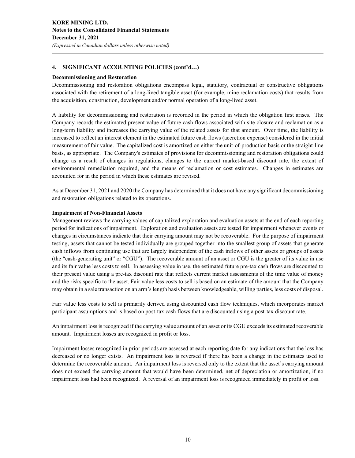#### **Decommissioning and Restoration**

Decommissioning and restoration obligations encompass legal, statutory, contractual or constructive obligations associated with the retirement of a long-lived tangible asset (for example, mine reclamation costs) that results from the acquisition, construction, development and/or normal operation of a long-lived asset.

A liability for decommissioning and restoration is recorded in the period in which the obligation first arises. The Company records the estimated present value of future cash flows associated with site closure and reclamation as a long-term liability and increases the carrying value of the related assets for that amount. Over time, the liability is increased to reflect an interest element in the estimated future cash flows (accretion expense) considered in the initial measurement of fair value. The capitalized cost is amortized on either the unit-of-production basis or the straight-line basis, as appropriate. The Company's estimates of provisions for decommissioning and restoration obligations could change as a result of changes in regulations, changes to the current market-based discount rate, the extent of environmental remediation required, and the means of reclamation or cost estimates. Changes in estimates are accounted for in the period in which these estimates are revised.

As at December 31, 2021 and 2020 the Company has determined that it does not have any significant decommissioning and restoration obligations related to its operations.

#### **Impairment of Non-Financial Assets**

Management reviews the carrying values of capitalized exploration and evaluation assets at the end of each reporting period for indications of impairment. Exploration and evaluation assets are tested for impairment whenever events or changes in circumstances indicate that their carrying amount may not be recoverable. For the purpose of impairment testing, assets that cannot be tested individually are grouped together into the smallest group of assets that generate cash inflows from continuing use that are largely independent of the cash inflows of other assets or groups of assets (the "cash-generating unit" or "CGU"). The recoverable amount of an asset or CGU is the greater of its value in use and its fair value less costs to sell. In assessing value in use, the estimated future pre-tax cash flows are discounted to their present value using a pre-tax discount rate that reflects current market assessments of the time value of money and the risks specific to the asset. Fair value less costs to sell is based on an estimate of the amount that the Company may obtain in a sale transaction on an arm's length basis between knowledgeable, willing parties, less costs of disposal.

Fair value less costs to sell is primarily derived using discounted cash flow techniques, which incorporates market participant assumptions and is based on post-tax cash flows that are discounted using a post-tax discount rate.

An impairment loss is recognized if the carrying value amount of an asset or its CGU exceeds its estimated recoverable amount. Impairment losses are recognized in profit or loss.

Impairment losses recognized in prior periods are assessed at each reporting date for any indications that the loss has decreased or no longer exists. An impairment loss is reversed if there has been a change in the estimates used to determine the recoverable amount. An impairment loss is reversed only to the extent that the asset's carrying amount does not exceed the carrying amount that would have been determined, net of depreciation or amortization, if no impairment loss had been recognized. A reversal of an impairment loss is recognized immediately in profit or loss.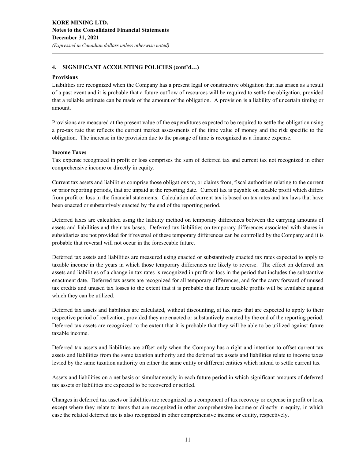#### **Provisions**

Liabilities are recognized when the Company has a present legal or constructive obligation that has arisen as a result of a past event and it is probable that a future outflow of resources will be required to settle the obligation, provided that a reliable estimate can be made of the amount of the obligation. A provision is a liability of uncertain timing or amount.

Provisions are measured at the present value of the expenditures expected to be required to settle the obligation using a pre-tax rate that reflects the current market assessments of the time value of money and the risk specific to the obligation. The increase in the provision due to the passage of time is recognized as a finance expense.

#### **Income Taxes**

Tax expense recognized in profit or loss comprises the sum of deferred tax and current tax not recognized in other comprehensive income or directly in equity.

Current tax assets and liabilities comprise those obligations to, or claims from, fiscal authorities relating to the current or prior reporting periods, that are unpaid at the reporting date. Current tax is payable on taxable profit which differs from profit or loss in the financial statements. Calculation of current tax is based on tax rates and tax laws that have been enacted or substantively enacted by the end of the reporting period.

Deferred taxes are calculated using the liability method on temporary differences between the carrying amounts of assets and liabilities and their tax bases. Deferred tax liabilities on temporary differences associated with shares in subsidiaries are not provided for if reversal of these temporary differences can be controlled by the Company and it is probable that reversal will not occur in the foreseeable future.

Deferred tax assets and liabilities are measured using enacted or substantively enacted tax rates expected to apply to taxable income in the years in which those temporary differences are likely to reverse. The effect on deferred tax assets and liabilities of a change in tax rates is recognized in profit or loss in the period that includes the substantive enactment date. Deferred tax assets are recognized for all temporary differences, and for the carry forward of unused tax credits and unused tax losses to the extent that it is probable that future taxable profits will be available against which they can be utilized.

Deferred tax assets and liabilities are calculated, without discounting, at tax rates that are expected to apply to their respective period of realization, provided they are enacted or substantively enacted by the end of the reporting period. Deferred tax assets are recognized to the extent that it is probable that they will be able to be utilized against future taxable income.

Deferred tax assets and liabilities are offset only when the Company has a right and intention to offset current tax assets and liabilities from the same taxation authority and the deferred tax assets and liabilities relate to income taxes levied by the same taxation authority on either the same entity or different entities which intend to settle current tax

Assets and liabilities on a net basis or simultaneously in each future period in which significant amounts of deferred tax assets or liabilities are expected to be recovered or settled.

Changes in deferred tax assets or liabilities are recognized as a component of tax recovery or expense in profit or loss, except where they relate to items that are recognized in other comprehensive income or directly in equity, in which case the related deferred tax is also recognized in other comprehensive income or equity, respectively.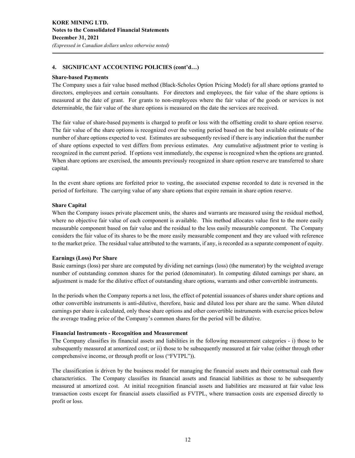#### **Share-based Payments**

The Company uses a fair value based method (Black-Scholes Option Pricing Model) for all share options granted to directors, employees and certain consultants. For directors and employees, the fair value of the share options is measured at the date of grant. For grants to non-employees where the fair value of the goods or services is not determinable, the fair value of the share options is measured on the date the services are received.

The fair value of share-based payments is charged to profit or loss with the offsetting credit to share option reserve. The fair value of the share options is recognized over the vesting period based on the best available estimate of the number of share options expected to vest. Estimates are subsequently revised if there is any indication that the number of share options expected to vest differs from previous estimates. Any cumulative adjustment prior to vesting is recognized in the current period. If options vest immediately, the expense is recognized when the options are granted. When share options are exercised, the amounts previously recognized in share option reserve are transferred to share capital.

In the event share options are forfeited prior to vesting, the associated expense recorded to date is reversed in the period of forfeiture. The carrying value of any share options that expire remain in share option reserve.

#### **Share Capital**

When the Company issues private placement units, the shares and warrants are measured using the residual method, where no objective fair value of each component is available. This method allocates value first to the more easily measurable component based on fair value and the residual to the less easily measurable component. The Company considers the fair value of its shares to be the more easily measurable component and they are valued with reference to the market price. The residual value attributed to the warrants, if any, is recorded as a separate component of equity.

#### **Earnings (Loss) Per Share**

Basic earnings (loss) per share are computed by dividing net earnings (loss) (the numerator) by the weighted average number of outstanding common shares for the period (denominator). In computing diluted earnings per share, an adjustment is made for the dilutive effect of outstanding share options, warrants and other convertible instruments.

In the periods when the Company reports a net loss, the effect of potential issuances of shares under share options and other convertible instruments is anti-dilutive, therefore, basic and diluted loss per share are the same. When diluted earnings per share is calculated, only those share options and other convertible instruments with exercise prices below the average trading price of the Company's common shares for the period will be dilutive.

#### **Financial Instruments - Recognition and Measurement**

The Company classifies its financial assets and liabilities in the following measurement categories - i) those to be subsequently measured at amortized cost; or ii) those to be subsequently measured at fair value (either through other comprehensive income, or through profit or loss ("FVTPL")).

The classification is driven by the business model for managing the financial assets and their contractual cash flow characteristics. The Company classifies its financial assets and financial liabilities as those to be subsequently measured at amortized cost. At initial recognition financial assets and liabilities are measured at fair value less transaction costs except for financial assets classified as FVTPL, where transaction costs are expensed directly to profit or loss.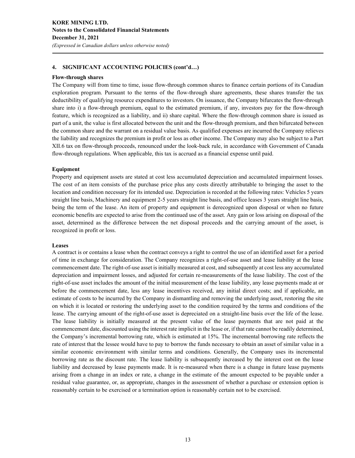#### **Flow-through shares**

The Company will from time to time, issue flow-through common shares to finance certain portions of its Canadian exploration program. Pursuant to the terms of the flow-through share agreements, these shares transfer the tax deductibility of qualifying resource expenditures to investors. On issuance, the Company bifurcates the flow-through share into i) a flow-through premium, equal to the estimated premium, if any, investors pay for the flow-through feature, which is recognized as a liability, and ii) share capital. Where the flow-through common share is issued as part of a unit, the value is first allocated between the unit and the flow-through premium, and then bifurcated between the common share and the warrant on a residual value basis. As qualified expenses are incurred the Company relieves the liability and recognizes the premium in profit or loss as other income. The Company may also be subject to a Part XII.6 tax on flow-through proceeds, renounced under the look-back rule, in accordance with Government of Canada flow-through regulations. When applicable, this tax is accrued as a financial expense until paid.

#### **Equipment**

Property and equipment assets are stated at cost less accumulated depreciation and accumulated impairment losses. The cost of an item consists of the purchase price plus any costs directly attributable to bringing the asset to the location and condition necessary for its intended use. Depreciation is recorded at the following rates: Vehicles 5 years straight line basis, Machinery and equipment 2-5 years straight line basis, and office leases 3 years straight line basis, being the term of the lease. An item of property and equipment is derecognized upon disposal or when no future economic benefits are expected to arise from the continued use of the asset. Any gain or loss arising on disposal of the asset, determined as the difference between the net disposal proceeds and the carrying amount of the asset, is recognized in profit or loss.

#### **Leases**

A contract is or contains a lease when the contract conveys a right to control the use of an identified asset for a period of time in exchange for consideration. The Company recognizes a right-of-use asset and lease liability at the lease commencement date. The right-of-use asset is initially measured at cost, and subsequently at cost less any accumulated depreciation and impairment losses, and adjusted for certain re-measurements of the lease liability. The cost of the right-of-use asset includes the amount of the initial measurement of the lease liability, any lease payments made at or before the commencement date, less any lease incentives received, any initial direct costs; and if applicable, an estimate of costs to be incurred by the Company in dismantling and removing the underlying asset, restoring the site on which it is located or restoring the underlying asset to the condition required by the terms and conditions of the lease. The carrying amount of the right-of-use asset is depreciated on a straight-line basis over the life of the lease. The lease liability is initially measured at the present value of the lease payments that are not paid at the commencement date, discounted using the interest rate implicit in the lease or, if that rate cannot be readily determined, the Company's incremental borrowing rate, which is estimated at 15%. The incremental borrowing rate reflects the rate of interest that the lessee would have to pay to borrow the funds necessary to obtain an asset of similar value in a similar economic environment with similar terms and conditions. Generally, the Company uses its incremental borrowing rate as the discount rate. The lease liability is subsequently increased by the interest cost on the lease liability and decreased by lease payments made. It is re-measured when there is a change in future lease payments arising from a change in an index or rate, a change in the estimate of the amount expected to be payable under a residual value guarantee, or, as appropriate, changes in the assessment of whether a purchase or extension option is reasonably certain to be exercised or a termination option is reasonably certain not to be exercised.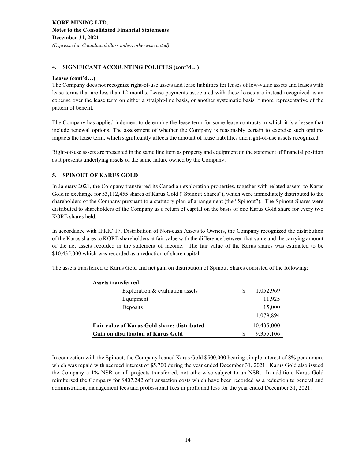#### **Leases (cont'd…)**

The Company does not recognize right-of-use assets and lease liabilities for leases of low-value assets and leases with lease terms that are less than 12 months. Lease payments associated with these leases are instead recognized as an expense over the lease term on either a straight-line basis, or another systematic basis if more representative of the pattern of benefit.

The Company has applied judgment to determine the lease term for some lease contracts in which it is a lessee that include renewal options. The assessment of whether the Company is reasonably certain to exercise such options impacts the lease term, which significantly affects the amount of lease liabilities and right-of-use assets recognized.

Right-of-use assets are presented in the same line item as property and equipment on the statement of financial position as it presents underlying assets of the same nature owned by the Company.

#### **5. SPINOUT OF KARUS GOLD**

In January 2021, the Company transferred its Canadian exploration properties, together with related assets, to Karus Gold in exchange for 53,112,455 shares of Karus Gold ("Spinout Shares"), which were immediately distributed to the shareholders of the Company pursuant to a statutory plan of arrangement (the "Spinout"). The Spinout Shares were distributed to shareholders of the Company as a return of capital on the basis of one Karus Gold share for every two KORE shares held.

In accordance with IFRIC 17, Distribution of Non-cash Assets to Owners, the Company recognized the distribution of the Karus shares to KORE shareholders at fair value with the difference between that value and the carrying amount of the net assets recorded in the statement of income. The fair value of the Karus shares was estimated to be \$10,435,000 which was recorded as a reduction of share capital.

The assets transferred to Karus Gold and net gain on distribution of Spinout Shares consisted of the following:

| S | 1,052,969<br>11,925 |
|---|---------------------|
|   |                     |
|   |                     |
|   | 15,000              |
|   | 1.079.894           |
|   | 10,435,000          |
|   | 9,355,106           |
|   |                     |

In connection with the Spinout, the Company loaned Karus Gold \$500,000 bearing simple interest of 8% per annum, which was repaid with accrued interest of \$5,700 during the year ended December 31, 2021. Karus Gold also issued the Company a 1% NSR on all projects transferred, not otherwise subject to an NSR. In addition, Karus Gold reimbursed the Company for \$407,242 of transaction costs which have been recorded as a reduction to general and administration, management fees and professional fees in profit and loss for the year ended December 31, 2021.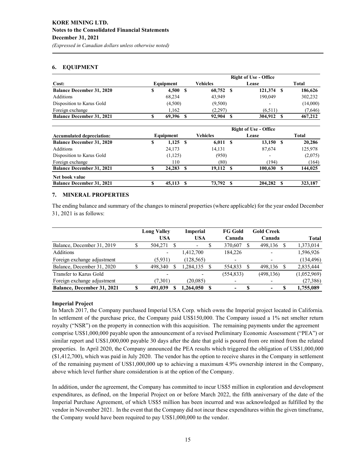# *(Expressed in Canadian dollars unless otherwise noted)*

#### **6. EQUIPMENT**

|                                  | <b>Right of Use - Office</b> |           |  |             |      |                          |  |          |  |  |
|----------------------------------|------------------------------|-----------|--|-------------|------|--------------------------|--|----------|--|--|
| Cost:                            |                              | Equipment |  | Vehicles    |      | Lease                    |  | Total    |  |  |
| <b>Balance December 31, 2020</b> | S                            | 4,500     |  | $60,752$ \$ |      | 121,374 \$               |  | 186,626  |  |  |
| Additions                        |                              | 68.234    |  | 43,949      |      | 190,049                  |  | 302,232  |  |  |
| Disposition to Karus Gold        |                              | (4,500)   |  | (9,500)     |      | $\overline{\phantom{a}}$ |  | (14,000) |  |  |
| Foreign exchange                 |                              | 1.162     |  | (2,297)     |      | (6.511)                  |  | (7,646)  |  |  |
| <b>Balance December 31, 2021</b> |                              | 69.396    |  | 92,904      | - \$ | 304,912 \$               |  | 467,212  |  |  |

|                                  | <b>Right of Use - Office</b> |            |  |            |  |                          |      |              |  |  |
|----------------------------------|------------------------------|------------|--|------------|--|--------------------------|------|--------------|--|--|
| <b>Accumulated depreciation:</b> |                              | Equipment  |  | Vehicles   |  | Lease                    |      | <b>Total</b> |  |  |
| <b>Balance December 31, 2020</b> | S                            | $1,125$ \$ |  | $6,011$ \$ |  | $13,150$ \$              |      | 20,286       |  |  |
| <b>Additions</b>                 |                              | 24,173     |  | 14,131     |  | 87,674                   |      | 125,978      |  |  |
| Disposition to Karus Gold        |                              | (1,125)    |  | (950)      |  | $\overline{\phantom{a}}$ |      | (2,075)      |  |  |
| Foreign exchange                 |                              | 110        |  | (80)       |  | (194)                    |      | (164)        |  |  |
| <b>Balance December 31, 2021</b> |                              | 24,283     |  | 19.112 \$  |  | 100.630                  | - \$ | 144,025      |  |  |
| Net book value                   |                              |            |  |            |  |                          |      |              |  |  |
| <b>Balance December 31, 2021</b> |                              | 45,113     |  | 73.792 \$  |  | 204,282                  | - \$ | 323,187      |  |  |

#### **7. MINERAL PROPERTIES**

The ending balance and summary of the changes to mineral properties (where applicable) for the year ended December 31, 2021 is as follows:

|                             | <b>Long Valley</b> | <b>Imperial</b> | <b>FG Gold</b>           |   | <b>Gold Creek</b> |    |              |
|-----------------------------|--------------------|-----------------|--------------------------|---|-------------------|----|--------------|
|                             | <b>USA</b>         | <b>USA</b>      | Canada                   |   | Canada            |    | <b>Total</b> |
| Balance, December 31, 2019  | 504,271            |                 | 370,607                  |   | 498,136           | S  | 1,373,014    |
| <b>Additions</b>            |                    | 1,412,700       | 184.226                  |   | ٠                 |    | 1,596,926    |
| Foreign exchange adjustment | (5.931)            | (128, 565)      | $\overline{\phantom{0}}$ |   | ۰                 |    | (134, 496)   |
| Balance, December 31, 2020  | 498,340            | ,284,135        | 554.833                  |   | 498,136           | S. | 2,835,444    |
| Transfer to Karus Gold      |                    |                 | (554, 833)               |   | (498, 136)        |    | (1,052,969)  |
| Foreign exchange adjustment | (7,301)            | (20,085)        | $\overline{\phantom{0}}$ |   |                   |    | (27, 386)    |
| Balance, December 31, 2021  | 491,039            | .264.050        | ۰                        | S | ۰                 | S  | 1,755,089    |

#### **Imperial Project**

In March 2017, the Company purchased Imperial USA Corp. which owns the Imperial project located in California. In settlement of the purchase price, the Company paid US\$150,000. The Company issued a 1% net smelter return royalty ("NSR") on the property in connection with this acquisition. The remaining payments under the agreement comprise US\$1,000,000 payable upon the announcement of a revised Preliminary Economic Assessment ("PEA") or similar report and US\$1,000,000 payable 30 days after the date that gold is poured from ore mined from the related properties. In April 2020, the Company announced the PEA results which triggered the obligation of US\$1,000,000 (\$1,412,700), which was paid in July 2020. The vendor has the option to receive shares in the Company in settlement of the remaining payment of US\$1,000,000 up to achieving a maximum 4.9% ownership interest in the Company, above which level further share consideration is at the option of the Company.

In addition, under the agreement, the Company has committed to incur US\$5 million in exploration and development expenditures, as defined, on the Imperial Project on or before March 2022, the fifth anniversary of the date of the Imperial Purchase Agreement, of which US\$5 million has been incurred and was acknowledged as fulfilled by the vendor in November 2021. In the event that the Company did not incur these expenditures within the given timeframe, the Company would have been required to pay US\$1,000,000 to the vendor.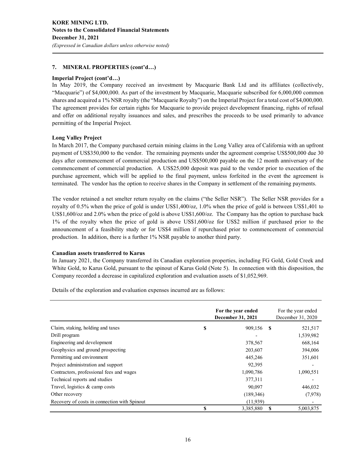#### **7. MINERAL PROPERTIES (cont'd…)**

#### **Imperial Project (cont'd…)**

In May 2019, the Company received an investment by Macquarie Bank Ltd and its affiliates (collectively, "Macquarie") of \$4,000,000. As part of the investment by Macquarie, Macquarie subscribed for 6,000,000 common shares and acquired a 1% NSR royalty (the "Macquarie Royalty") on the Imperial Project for a total cost of \$4,000,000. The agreement provides for certain rights for Macquarie to provide project development financing, rights of refusal and offer on additional royalty issuances and sales, and prescribes the proceeds to be used primarily to advance permitting of the Imperial Project.

#### **Long Valley Project**

In March 2017, the Company purchased certain mining claims in the Long Valley area of California with an upfront payment of US\$350,000 to the vendor. The remaining payments under the agreement comprise US\$500,000 due 30 days after commencement of commercial production and US\$500,000 payable on the 12 month anniversary of the commencement of commercial production. A US\$25,000 deposit was paid to the vendor prior to execution of the purchase agreement, which will be applied to the final payment, unless forfeited in the event the agreement is terminated. The vendor has the option to receive shares in the Company in settlement of the remaining payments.

The vendor retained a net smelter return royalty on the claims ("the Seller NSR"). The Seller NSR provides for a royalty of 0.5% when the price of gold is under US\$1,400/oz, 1.0% when the price of gold is between US\$1,401 to US\$1,600/oz and 2.0% when the price of gold is above US\$1,600/oz. The Company has the option to purchase back 1% of the royalty when the price of gold is above US\$1,600/oz for US\$2 million if purchased prior to the announcement of a feasibility study or for US\$4 million if repurchased prior to commencement of commercial production. In addition, there is a further 1% NSR payable to another third party.

#### **Canadian assets transferred to Karus**

In January 2021, the Company transferred its Canadian exploration properties, including FG Gold, Gold Creek and White Gold, to Karus Gold, pursuant to the spinout of Karus Gold (Note 5). In connection with this disposition, the Company recorded a decrease in capitalized exploration and evaluation assets of \$1,052,969.

Details of the exploration and evaluation expenses incurred are as follows:

|                                              | For the year ended<br>December 31, 2021 |    | For the year ended<br>December 31, 2020 |
|----------------------------------------------|-----------------------------------------|----|-----------------------------------------|
| Claim, staking, holding and taxes            | \$<br>909,156                           | -S | 521,517                                 |
| Drill program                                |                                         |    | 1,539,982                               |
| Engineering and development                  | 378,567                                 |    | 668,164                                 |
| Geophysics and ground prospecting            | 203,607                                 |    | 394,006                                 |
| Permitting and environment                   | 445,246                                 |    | 351,601                                 |
| Project administration and support           | 92,395                                  |    |                                         |
| Contractors, professional fees and wages     | 1,090,786                               |    | 1,090,551                               |
| Technical reports and studies                | 377,311                                 |    |                                         |
| Travel, logistics & camp costs               | 90,097                                  |    | 446,032                                 |
| Other recovery                               | (189,346)                               |    | (7,978)                                 |
| Recovery of costs in connection with Spinout | (11,939)                                |    |                                         |
|                                              | \$<br>3,385,880                         | S  | 5,003,875                               |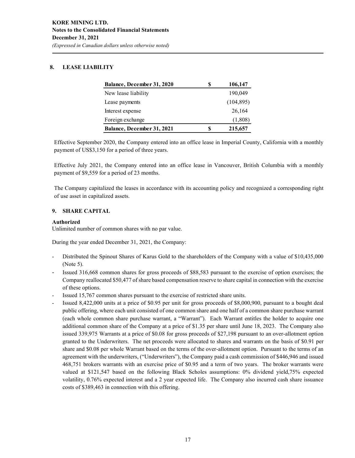## **8. LEASE LIABILITY**

| Balance, December 31, 2020 | S | 106,147    |
|----------------------------|---|------------|
| New lease liability        |   | 190,049    |
| Lease payments             |   | (104, 895) |
| Interest expense           |   | 26,164     |
| Foreign exchange           |   | (1,808)    |
| Balance, December 31, 2021 | S | 215,657    |

Effective September 2020, the Company entered into an office lease in Imperial County, California with a monthly payment of US\$3,150 for a period of three years.

Effective July 2021, the Company entered into an office lease in Vancouver, British Columbia with a monthly payment of \$9,559 for a period of 23 months.

The Company capitalized the leases in accordance with its accounting policy and recognized a corresponding right of use asset in capitalized assets.

#### **9. SHARE CAPITAL**

#### **Authorized**

Unlimited number of common shares with no par value.

During the year ended December 31, 2021, the Company:

- Distributed the Spinout Shares of Karus Gold to the shareholders of the Company with a value of \$10,435,000 (Note 5).
- Issued 316,668 common shares for gross proceeds of \$88,583 pursuant to the exercise of option exercises; the Company reallocated \$50,477 of share based compensation reserve to share capital in connection with the exercise of these options.
- Issued 15,767 common shares pursuant to the exercise of restricted share units.
- Issued 8,422,000 units at a price of \$0.95 per unit for gross proceeds of \$8,000,900, pursuant to a bought deal public offering, where each unit consisted of one common share and one half of a common share purchase warrant (each whole common share purchase warrant, a "Warrant"). Each Warrant entitles the holder to acquire one additional common share of the Company at a price of \$1.35 per share until June 18, 2023. The Company also issued 339,975 Warrants at a price of \$0.08 for gross proceeds of \$27,198 pursuant to an over-allotment option granted to the Underwriters. The net proceeds were allocated to shares and warrants on the basis of \$0.91 per share and \$0.08 per whole Warrant based on the terms of the over-allotment option. Pursuant to the terms of an agreement with the underwriters, ("Underwriters"), the Company paid a cash commission of \$446,946 and issued 468,751 brokers warrants with an exercise price of \$0.95 and a term of two years. The broker warrants were valued at \$121,547 based on the following Black Scholes assumptions: 0% dividend yield,75% expected volatility, 0.76% expected interest and a 2 year expected life. The Company also incurred cash share issuance costs of \$389,463 in connection with this offering.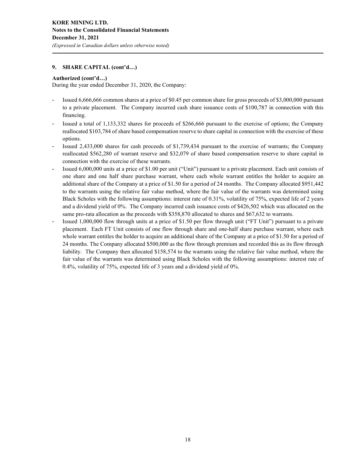# **Authorized (cont'd…)**

During the year ended December 31, 2020, the Company:

- Issued 6,666,666 common shares at a price of \$0.45 per common share for gross proceeds of \$3,000,000 pursuant to a private placement. The Company incurred cash share issuance costs of \$100,787 in connection with this financing.
- Issued a total of 1,133,332 shares for proceeds of \$266,666 pursuant to the exercise of options; the Company reallocated \$103,784 of share based compensation reserve to share capital in connection with the exercise of these options.
- Issued 2,433,000 shares for cash proceeds of \$1,739,434 pursuant to the exercise of warrants; the Company reallocated \$562,280 of warrant reserve and \$32,079 of share based compensation reserve to share capital in connection with the exercise of these warrants.
- Issued 6,000,000 units at a price of \$1.00 per unit ("Unit") pursuant to a private placement. Each unit consists of one share and one half share purchase warrant, where each whole warrant entitles the holder to acquire an additional share of the Company at a price of \$1.50 for a period of 24 months. The Company allocated \$951,442 to the warrants using the relative fair value method, where the fair value of the warrants was determined using Black Scholes with the following assumptions: interest rate of 0.31%, volatility of 75%, expected life of 2 years and a dividend yield of 0%. The Company incurred cash issuance costs of \$426,502 which was allocated on the same pro-rata allocation as the proceeds with \$358,870 allocated to shares and \$67,632 to warrants.
- Issued 1,000,000 flow through units at a price of \$1.50 per flow through unit ("FT Unit") pursuant to a private placement. Each FT Unit consists of one flow through share and one-half share purchase warrant, where each whole warrant entitles the holder to acquire an additional share of the Company at a price of \$1.50 for a period of 24 months. The Company allocated \$500,000 as the flow through premium and recorded this as its flow through liability. The Company then allocated \$158,574 to the warrants using the relative fair value method, where the fair value of the warrants was determined using Black Scholes with the following assumptions: interest rate of 0.4%, volatility of 75%, expected life of 3 years and a dividend yield of 0%.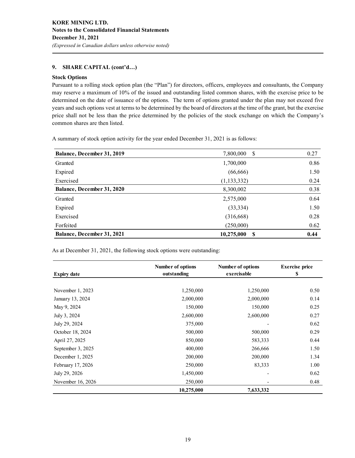#### **Stock Options**

Pursuant to a rolling stock option plan (the "Plan") for directors, officers, employees and consultants, the Company may reserve a maximum of 10% of the issued and outstanding listed common shares, with the exercise price to be determined on the date of issuance of the options. The term of options granted under the plan may not exceed five years and such options vest at terms to be determined by the board of directors at the time of the grant, but the exercise price shall not be less than the price determined by the policies of the stock exchange on which the Company's common shares are then listed.

A summary of stock option activity for the year ended December 31, 2021 is as follows:

| Balance, December 31, 2019        | <sup>\$</sup><br>7,800,000 | 0.27 |  |
|-----------------------------------|----------------------------|------|--|
| Granted                           | 1,700,000                  | 0.86 |  |
| Expired                           | (66, 666)                  | 1.50 |  |
| Exercised                         | (1, 133, 332)              | 0.24 |  |
| Balance, December 31, 2020        | 8,300,002                  | 0.38 |  |
| Granted                           | 2,575,000                  | 0.64 |  |
| Expired                           | (33, 334)                  | 1.50 |  |
| Exercised                         | (316, 668)                 | 0.28 |  |
| Forfeited                         | (250,000)                  | 0.62 |  |
| <b>Balance, December 31, 2021</b> | 10,275,000<br>S            | 0.44 |  |

As at December 31, 2021, the following stock options were outstanding:

| <b>Expiry date</b> | Number of options<br>outstanding | Number of options<br>exercisable | <b>Exercise price</b><br>\$ |  |
|--------------------|----------------------------------|----------------------------------|-----------------------------|--|
|                    |                                  |                                  |                             |  |
| November 1, 2023   | 1,250,000                        | 1,250,000                        | 0.50                        |  |
| January 13, 2024   | 2,000,000                        | 2,000,000                        | 0.14                        |  |
| May 9, 2024        | 150,000                          | 150,000                          | 0.25                        |  |
| July 3, 2024       | 2,600,000                        | 2,600,000                        | 0.27                        |  |
| July 29, 2024      | 375,000                          |                                  | 0.62                        |  |
| October 18, 2024   | 500,000                          | 500,000                          | 0.29                        |  |
| April 27, 2025     | 850,000                          | 583,333                          | 0.44                        |  |
| September 3, 2025  | 400,000                          | 266,666                          | 1.50                        |  |
| December 1, 2025   | 200,000                          | 200,000                          | 1.34                        |  |
| February 17, 2026  | 250,000                          | 83,333                           | 1.00                        |  |
| July 29, 2026      | 1,450,000                        | ٠                                | 0.62                        |  |
| November 16, 2026  | 250,000                          | -                                | 0.48                        |  |
|                    | 10,275,000                       | 7,633,332                        |                             |  |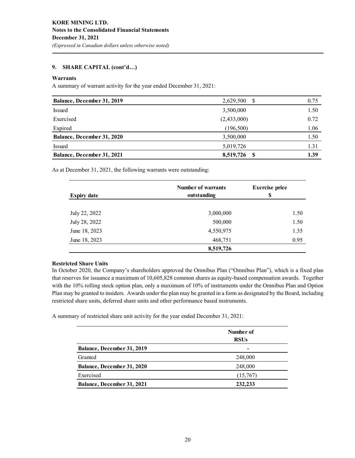#### **Warrants**

A summary of warrant activity for the year ended December 31, 2021:

| Balance, December 31, 2019 | 2,629,500<br>-S  | 0.75 |
|----------------------------|------------------|------|
| <b>Issued</b>              | 3,500,000        | 1.50 |
| Exercised                  | (2,433,000)      | 0.72 |
| Expired                    | (196, 500)       | 1.06 |
| Balance, December 31, 2020 | 3,500,000        | 1.50 |
| <b>Issued</b>              | 5,019,726        | 1.31 |
| Balance, December 31, 2021 | 8,519,726<br>- S | 1.39 |

As at December 31, 2021, the following warrants were outstanding:

| <b>Expiry date</b> | <b>Number of warrants</b><br>outstanding | <b>Exercise</b> price<br>S |
|--------------------|------------------------------------------|----------------------------|
| July 22, 2022      | 3,000,000                                | 1.50                       |
| July 28, 2022      | 500,000                                  | 1.50                       |
| June 18, 2023      | 4,550,975                                | 1.35                       |
| June 18, 2023      | 468,751                                  | 0.95                       |
|                    | 8,519,726                                |                            |

#### **Restricted Share Units**

In October 2020, the Company's shareholders approved the Omnibus Plan ("Omnibus Plan"), which is a fixed plan that reserves for issuance a maximum of 10,605,828 common shares as equity-based compensation awards. Together with the 10% rolling stock option plan, only a maximum of 10% of instruments under the Omnibus Plan and Option Plan may be granted to insiders. Awards under the plan may be granted in a form as designated by the Board, including restricted share units, deferred share units and other performance based instruments.

A summary of restricted share unit activity for the year ended December 31, 2021:

|                                   | Number of<br><b>RSUs</b> |
|-----------------------------------|--------------------------|
| Balance, December 31, 2019        | $\overline{\phantom{0}}$ |
| Granted                           | 248,000                  |
| <b>Balance, December 31, 2020</b> | 248,000                  |
| Exercised                         | (15,767)                 |
| <b>Balance, December 31, 2021</b> | 232,233                  |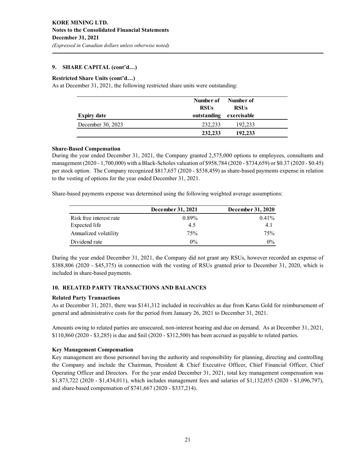#### **Restricted Share Units (cont'd…)**

As at December 31, 2021, the following restricted share units were outstanding:

|                    | <b>RSUs</b> | Number of Number of<br><b>RSUs</b> |  |
|--------------------|-------------|------------------------------------|--|
| <b>Expiry date</b> |             | outstanding exercisable            |  |
| December 30, 2023  | 232,233     | 192,233                            |  |
|                    | 232,233     | 192,233                            |  |

#### **Share-Based Compensation**

During the year ended December 31, 2021, the Company granted 2,575,000 options to employees, consultants and management (2020 - 1,700,000) with a Black-Scholes valuation of \$958,784 (2020 - \$734,659) or \$0.37 (2020 - \$0.45) per stock option. The Company recognized \$817,657 (2020 - \$538,459) as share-based payments expense in relation to the vesting of options for the year ended December 31, 2021.

Share-based payments expense was determined using the following weighted average assumptions:

|                         | December 31, 2021 | December 31, 2020 |
|-------------------------|-------------------|-------------------|
| Risk free interest rate | $0.89\%$          | $0.41\%$          |
| Expected life           | 4.5               | 4.1               |
| Annualized volatility   | 75%               | 75%               |
| Dividend rate           | $0\%$             | $0\%$             |

During the year ended December 31, 2021, the Company did not grant any RSUs, however recorded an expense of \$388,806 (2020 - \$45,375) in connection with the vesting of RSUs granted prior to December 31, 2020, which is included in share-based payments.

### **10. RELATED PARTY TRANSACTIONS AND BALANCES**

#### **Related Party Transactions**

As at December 31, 2021, there was \$141,312 included in receivables as due from Karus Gold for reimbursement of general and administrative costs for the period from January 26, 2021 to December 31, 2021.

Amounts owing to related parties are unsecured, non-interest bearing and due on demand. As at December 31, 2021, \$110,860 (2020 - \$3,285) is due and \$nil (2020 - \$312,500) has been accrued as payable to related parties.

#### **Key Management Compensation**

Key management are those personnel having the authority and responsibility for planning, directing and controlling the Company and include the Chairman, President & Chief Executive Officer, Chief Financial Officer, Chief Operating Officer and Directors. For the year ended December 31, 2021, total key management compensation was \$1,873,722 (2020 - \$1,434,011), which includes management fees and salaries of \$1,132,055 (2020 - \$1,096,797), and share-based compensation of \$741,667 (2020 - \$337,214).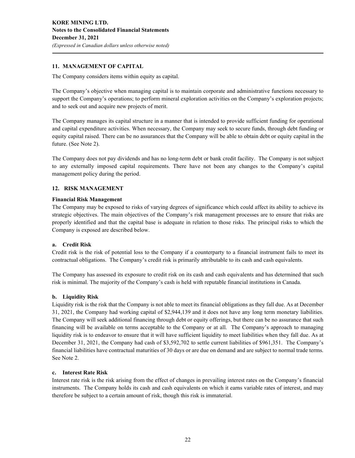### **11. MANAGEMENT OF CAPITAL**

The Company considers items within equity as capital.

The Company's objective when managing capital is to maintain corporate and administrative functions necessary to support the Company's operations; to perform mineral exploration activities on the Company's exploration projects; and to seek out and acquire new projects of merit.

The Company manages its capital structure in a manner that is intended to provide sufficient funding for operational and capital expenditure activities. When necessary, the Company may seek to secure funds, through debt funding or equity capital raised. There can be no assurances that the Company will be able to obtain debt or equity capital in the future. (See Note 2).

The Company does not pay dividends and has no long-term debt or bank credit facility. The Company is not subject to any externally imposed capital requirements. There have not been any changes to the Company's capital management policy during the period.

#### **12. RISK MANAGEMENT**

#### **Financial Risk Management**

The Company may be exposed to risks of varying degrees of significance which could affect its ability to achieve its strategic objectives. The main objectives of the Company's risk management processes are to ensure that risks are properly identified and that the capital base is adequate in relation to those risks. The principal risks to which the Company is exposed are described below.

#### **a. Credit Risk**

Credit risk is the risk of potential loss to the Company if a counterparty to a financial instrument fails to meet its contractual obligations. The Company's credit risk is primarily attributable to its cash and cash equivalents.

The Company has assessed its exposure to credit risk on its cash and cash equivalents and has determined that such risk is minimal. The majority of the Company's cash is held with reputable financial institutions in Canada.

#### **b. Liquidity Risk**

Liquidity risk is the risk that the Company is not able to meet its financial obligations as they fall due. As at December 31, 2021, the Company had working capital of \$2,944,139 and it does not have any long term monetary liabilities. The Company will seek additional financing through debt or equity offerings, but there can be no assurance that such financing will be available on terms acceptable to the Company or at all. The Company's approach to managing liquidity risk is to endeavor to ensure that it will have sufficient liquidity to meet liabilities when they fall due. As at December 31, 2021, the Company had cash of \$3,592,702 to settle current liabilities of \$961,351. The Company's financial liabilities have contractual maturities of 30 days or are due on demand and are subject to normal trade terms. See Note 2.

#### **c. Interest Rate Risk**

Interest rate risk is the risk arising from the effect of changes in prevailing interest rates on the Company's financial instruments. The Company holds its cash and cash equivalents on which it earns variable rates of interest, and may therefore be subject to a certain amount of risk, though this risk is immaterial.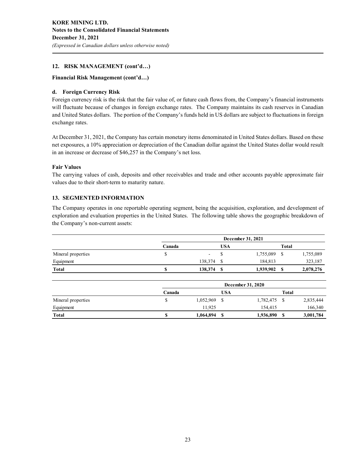### **12. RISK MANAGEMENT (cont'd…)**

#### **Financial Risk Management (cont'd…)**

#### **d. Foreign Currency Risk**

Foreign currency risk is the risk that the fair value of, or future cash flows from, the Company's financial instruments will fluctuate because of changes in foreign exchange rates. The Company maintains its cash reserves in Canadian and United States dollars. The portion of the Company's funds held in US dollars are subject to fluctuations in foreign exchange rates.

At December 31, 2021, the Company has certain monetary items denominated in United States dollars. Based on these net exposures, a 10% appreciation or depreciation of the Canadian dollar against the United States dollar would result in an increase or decrease of \$46,257 in the Company's net loss.

#### **Fair Values**

The carrying values of cash, deposits and other receivables and trade and other accounts payable approximate fair values due to their short-term to maturity nature.

#### **13. SEGMENTED INFORMATION**

The Company operates in one reportable operating segment, being the acquisition, exploration, and development of exploration and evaluation properties in the United States. The following table shows the geographic breakdown of the Company's non-current assets:

|                    |        | December 31, 2021 |     |           |              |           |
|--------------------|--------|-------------------|-----|-----------|--------------|-----------|
|                    | Canada |                   | USA |           | <b>Total</b> |           |
| Mineral properties |        | -                 |     | 1,755,089 |              | 1,755,089 |
| Equipment          |        | 138.374           |     | 184,813   |              | 323,187   |
| Total              |        | 138,374           |     | 1,939,902 |              | 2,078,276 |

|                    | December 31, 2020 |           |     |           |       |           |
|--------------------|-------------------|-----------|-----|-----------|-------|-----------|
|                    | Canada            |           | USA |           | Total |           |
| Mineral properties |                   | 1,052,969 |     | 1,782,475 |       | 2,835,444 |
| Equipment          |                   | 11.925    |     | 154,415   |       | 166,340   |
| Total              | ¢                 | 1,064,894 | S   | 1,936,890 | \$    | 3,001,784 |